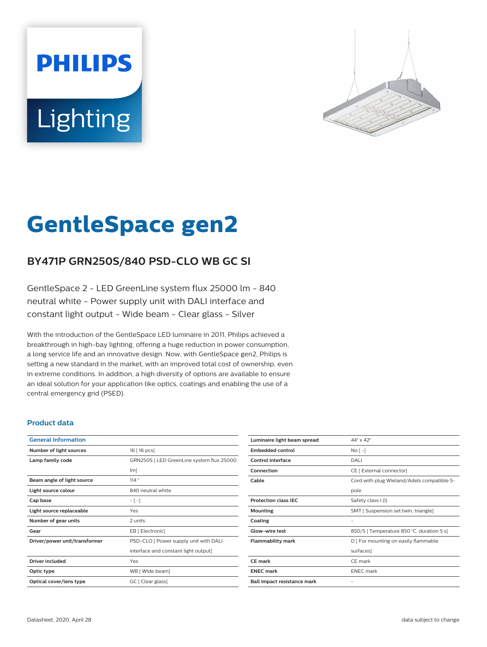# **PHILIPS Lighting**



# **GentleSpace gen2**

# **BY471P GRN250S/840 PSD-CLO WB GC SI**

GentleSpace 2 - LED GreenLine system flux 25000 lm - 840 neutral white - Power supply unit with DALI interface and constant light output - Wide beam - Clear glass - Silver

With the introduction of the GentleSpace LED luminaire in 2011, Philips achieved a breakthrough in high-bay lighting, offering a huge reduction in power consumption, a long service life and an innovative design. Now, with GentleSpace gen2, Philips is setting a new standard in the market, with an improved total cost of ownership, even in extreme conditions. In addition, a high diversity of options are available to ensure an ideal solution for your application like optics, coatings and enabling the use of a central emergency grid (PSED).

### **Product data**

| <b>General Information</b>    |                                           |
|-------------------------------|-------------------------------------------|
| Number of light sources       | 16 [ 16 pcs]                              |
| Lamp family code              | GRN250S   LED GreenLine system flux 25000 |
|                               | $\lfloor m \rfloor$                       |
| Beam angle of light source    | 114°                                      |
| Light source colour           | 840 neutral white                         |
| Cap base                      | $-[-]$                                    |
| Light source replaceable      | Yes                                       |
| Number of gear units          | 2 units                                   |
| Gear                          | EB [ Electronic]                          |
| Driver/power unit/transformer | PSD-CLO [ Power supply unit with DALI     |
|                               | interface and constant light output]      |
| <b>Driver included</b>        | Yes                                       |
| Optic type                    | WB [ Wide beam]                           |
| Optical cover/lens type       | GC [ Clear glass]                         |

| Luminaire light beam spread | $44^\circ \times 42^\circ$                 |
|-----------------------------|--------------------------------------------|
| <b>Embedded control</b>     | $NQ$ [ -]                                  |
| Control interface           | DALI                                       |
| Connection                  | CE [ External connector]                   |
| Cable                       | Cord with plug Wieland/Adels compatible 5- |
|                             | pole                                       |
| <b>Protection class IFC</b> | Safety class I (I)                         |
| Mounting                    | SMT [ Suspension set twin, triangle]       |
| Coating                     | -                                          |
| <b>Glow-wire test</b>       | 850/5   Temperature 850 °C, duration 5 s]  |
| <b>Flammability mark</b>    | D   For mounting on easily flammable       |
|                             | surfaces]                                  |
| <b>CE</b> mark              | CE mark                                    |
| <b>ENEC mark</b>            | <b>ENEC</b> mark                           |
| Ball impact resistance mark |                                            |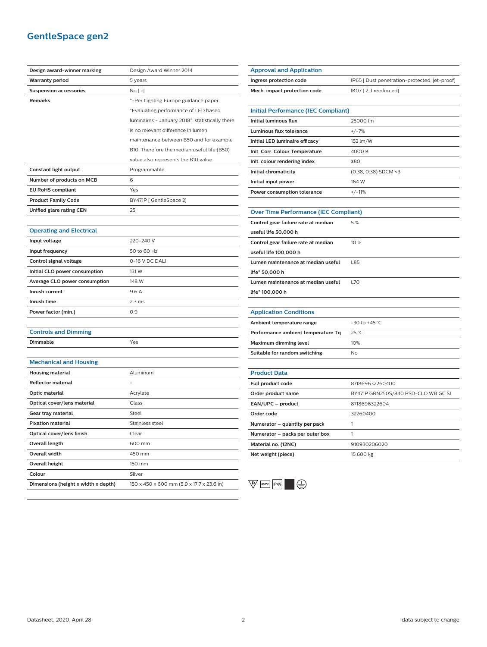# **GentleSpace gen2**

| Design award-winner marking         | Design Award Winner 2014                        |
|-------------------------------------|-------------------------------------------------|
| <b>Warranty period</b>              | 5 years                                         |
| <b>Suspension accessories</b>       | $No [-]$                                        |
| Remarks                             | *-Per Lighting Europe guidance paper            |
|                                     | "Evaluating performance of LED based            |
|                                     | luminaires - January 2018": statistically there |
|                                     | is no relevant difference in lumen              |
|                                     | maintenance between B50 and for example         |
|                                     | B10. Therefore the median useful life (B50)     |
|                                     | value also represents the B10 value.            |
| Constant light output               | Programmable                                    |
| Number of products on MCB           | 6                                               |
| <b>EU RoHS compliant</b>            | Yes                                             |
| <b>Product Family Code</b>          | BY471P [ GentleSpace 2]                         |
| Unified glare rating CEN            | 25                                              |
|                                     |                                                 |
| <b>Operating and Electrical</b>     |                                                 |
| Input voltage                       | 220-240 V                                       |
| Input frequency                     | 50 to 60 Hz                                     |
| Control signal voltage              | 0-16 V DC DALI                                  |
| Initial CLO power consumption       | 131 W                                           |
| Average CLO power consumption       | 148 W                                           |
| Inrush current                      | 9.6A                                            |
| Inrush time                         | 2.3 <sub>ms</sub>                               |
| Power factor (min.)                 | 0.9                                             |
|                                     |                                                 |
| <b>Controls and Dimming</b>         |                                                 |
| Dimmable                            | Yes                                             |
|                                     |                                                 |
| <b>Mechanical and Housing</b>       |                                                 |
| <b>Housing material</b>             | Aluminum                                        |
| <b>Reflector material</b>           |                                                 |
| Optic material                      | Acrylate                                        |
| Optical cover/lens material         | Glass                                           |
| Gear tray material                  | Steel                                           |
| <b>Fixation material</b>            | Stainless steel                                 |
| Optical cover/lens finish           | Clear                                           |
| <b>Overall length</b>               | 600 mm                                          |
| Overall width                       | 450 mm                                          |
| <b>Overall height</b>               | 150 mm                                          |
| Colour                              | Silver                                          |
| Dimensions (height x width x depth) | 150 x 450 x 600 mm (5.9 x 17.7 x 23.6 in)       |

| <b>Approval and Application</b>              |                                               |
|----------------------------------------------|-----------------------------------------------|
| Ingress protection code                      | IP65 [ Dust penetration-protected, jet-proof] |
| Mech. impact protection code                 | IK07 [2 J reinforced]                         |
|                                              |                                               |
| <b>Initial Performance (IEC Compliant)</b>   |                                               |
| <b>Initial luminous flux</b>                 | 25000 lm                                      |
| <b>Luminous flux tolerance</b>               | $+/-7%$                                       |
| Initial LED luminaire efficacy               | 152 lm/W                                      |
| Init. Corr. Colour Temperature               | 4000K                                         |
| Init. colour rendering index                 | ≥80                                           |
| Initial chromaticity                         | (0.38, 0.38) SDCM <3                          |
| Initial input power                          | 164 W                                         |
| <b>Power consumption tolerance</b>           | $+/-11%$                                      |
|                                              |                                               |
| <b>Over Time Performance (IEC Compliant)</b> |                                               |
| Control gear failure rate at median          | 5%                                            |
| useful life 50,000 h                         |                                               |
| Control gear failure rate at median          | 10 %                                          |
| useful life 100,000 h                        |                                               |
| Lumen maintenance at median useful           | L85                                           |
| life* 50,000 h                               |                                               |
| Lumen maintenance at median useful           | L70                                           |
| life* 100,000 h                              |                                               |
|                                              |                                               |
| <b>Application Conditions</b>                |                                               |
| Ambient temperature range                    | -30 to +45 °C                                 |
| Performance ambient temperature Tq           | 25 °C                                         |
| <b>Maximum dimming level</b>                 | 10%                                           |
| Suitable for random switching                | No                                            |
|                                              |                                               |
| <b>Product Data</b>                          |                                               |
| <b>Full product code</b>                     | 871869632260400                               |
| Order product name                           | BY471P GRN250S/840 PSD-CLO WB GC SI           |
| EAN/UPC - product                            | 8718696322604                                 |
| Order code                                   | 32260400                                      |
| Numerator – quantity per pack                | 1                                             |
| Numerator – packs per outer box              | 1                                             |
| Material no. (12NC)                          | 910930206020                                  |
| Net weight (piece)                           | 15.600 kg                                     |